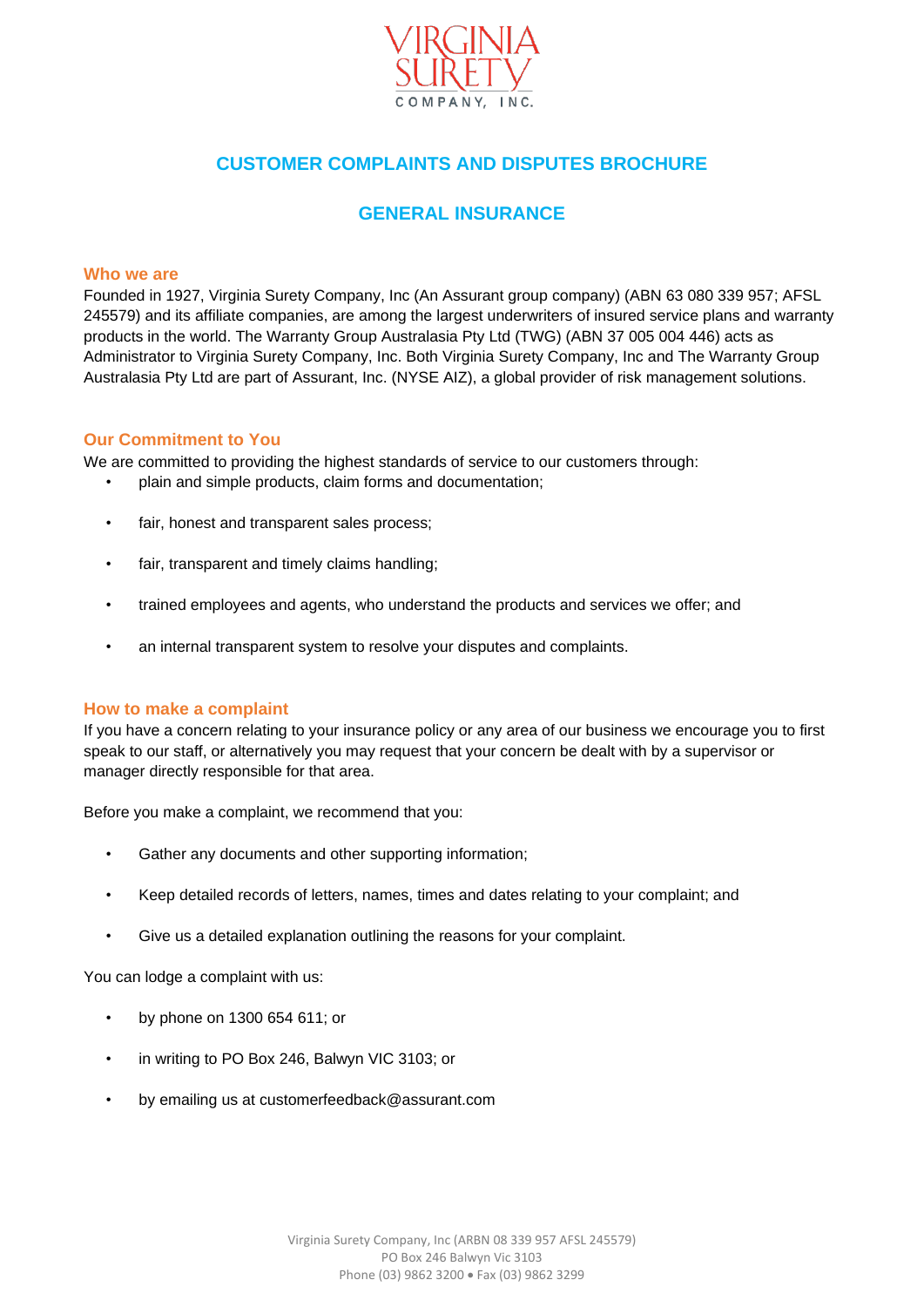

# **CUSTOMER COMPLAINTS AND DISPUTES BROCHURE**

# **GENERAL INSURANCE**

## **Who we are**

Founded in 1927, Virginia Surety Company, Inc (An Assurant group company) (ABN 63 080 339 957; AFSL 245579) and its affiliate companies, are among the largest underwriters of insured service plans and warranty products in the world. The Warranty Group Australasia Pty Ltd (TWG) (ABN 37 005 004 446) acts as Administrator to Virginia Surety Company, Inc. Both Virginia Surety Company, Inc and The Warranty Group Australasia Pty Ltd are part of Assurant, Inc. (NYSE AIZ), a global provider of risk management solutions.

## **Our Commitment to You**

We are committed to providing the highest standards of service to our customers through:

- plain and simple products, claim forms and documentation;
- fair, honest and transparent sales process:
- fair, transparent and timely claims handling;
- trained employees and agents, who understand the products and services we offer; and
- an internal transparent system to resolve your disputes and complaints.

## **How to make a complaint**

If you have a concern relating to your insurance policy or any area of our business we encourage you to first speak to our staff, or alternatively you may request that your concern be dealt with by a supervisor or manager directly responsible for that area.

Before you make a complaint, we recommend that you:

- Gather any documents and other supporting information;
- Keep detailed records of letters, names, times and dates relating to your complaint; and
- Give us a detailed explanation outlining the reasons for your complaint.

You can lodge a complaint with us:

- by phone on 1300 654 611; or
- in writing to PO Box 246, Balwyn VIC 3103; or
- by emailing us at customerfeedback@assurant.com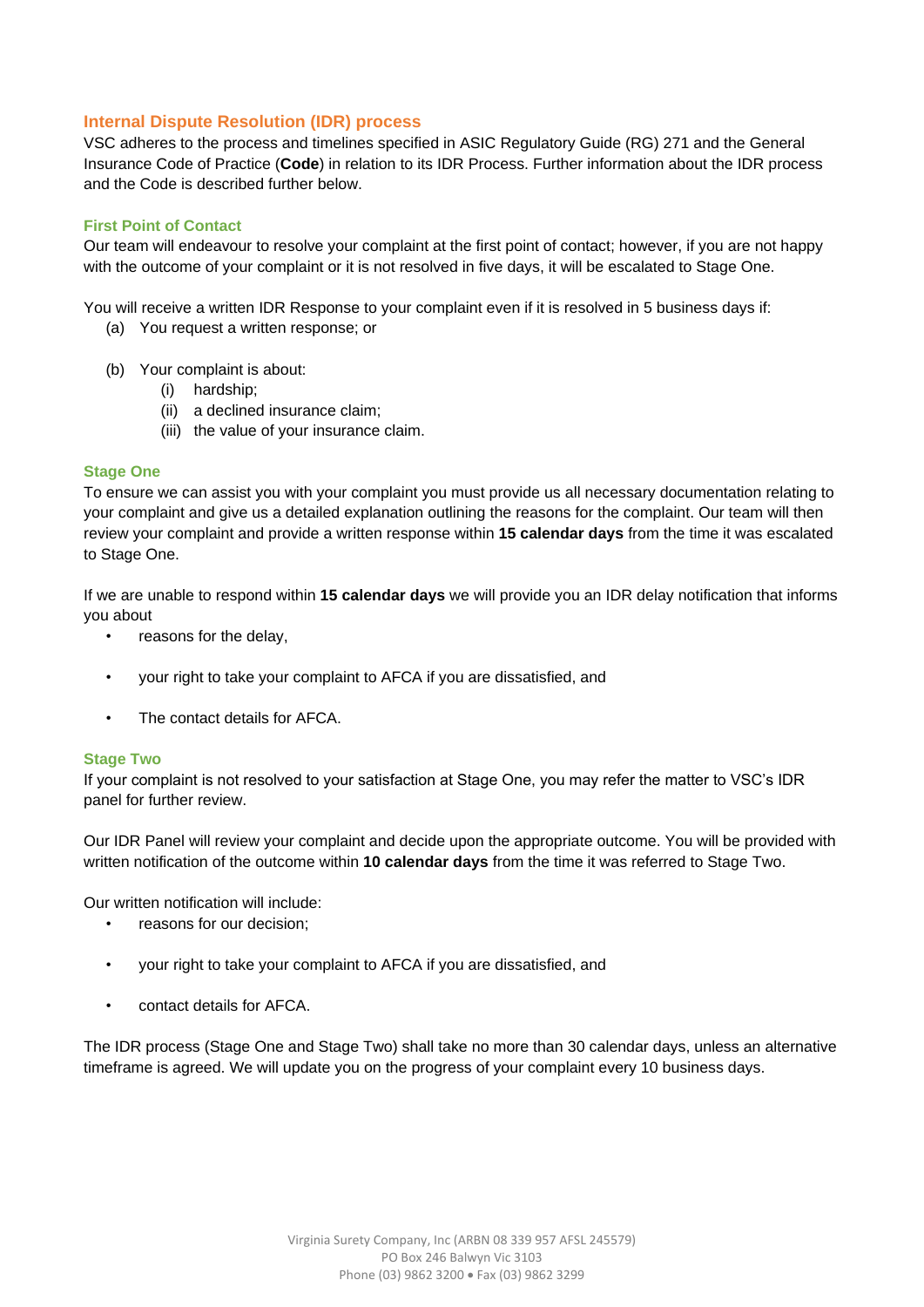# **Internal Dispute Resolution (IDR) process**

VSC adheres to the process and timelines specified in ASIC Regulatory Guide (RG) 271 and the General Insurance Code of Practice (**Code**) in relation to its IDR Process. Further information about the IDR process and the Code is described further below.

# **First Point of Contact**

Our team will endeavour to resolve your complaint at the first point of contact; however, if you are not happy with the outcome of your complaint or it is not resolved in five days, it will be escalated to Stage One.

You will receive a written IDR Response to your complaint even if it is resolved in 5 business days if:

- (a) You request a written response; or
- (b) Your complaint is about:
	- (i) hardship;
	- (ii) a declined insurance claim;
	- (iii) the value of your insurance claim.

## **Stage One**

To ensure we can assist you with your complaint you must provide us all necessary documentation relating to your complaint and give us a detailed explanation outlining the reasons for the complaint. Our team will then review your complaint and provide a written response within **15 calendar days** from the time it was escalated to Stage One.

If we are unable to respond within **15 calendar days** we will provide you an IDR delay notification that informs you about

- reasons for the delay,
- your right to take your complaint to AFCA if you are dissatisfied, and
- The contact details for AFCA.

#### **Stage Two**

If your complaint is not resolved to your satisfaction at Stage One, you may refer the matter to VSC's IDR panel for further review.

Our IDR Panel will review your complaint and decide upon the appropriate outcome. You will be provided with written notification of the outcome within **10 calendar days** from the time it was referred to Stage Two.

Our written notification will include:

- reasons for our decision;
- your right to take your complaint to AFCA if you are dissatisfied, and
- contact details for AFCA.

The IDR process (Stage One and Stage Two) shall take no more than 30 calendar days, unless an alternative timeframe is agreed. We will update you on the progress of your complaint every 10 business days.